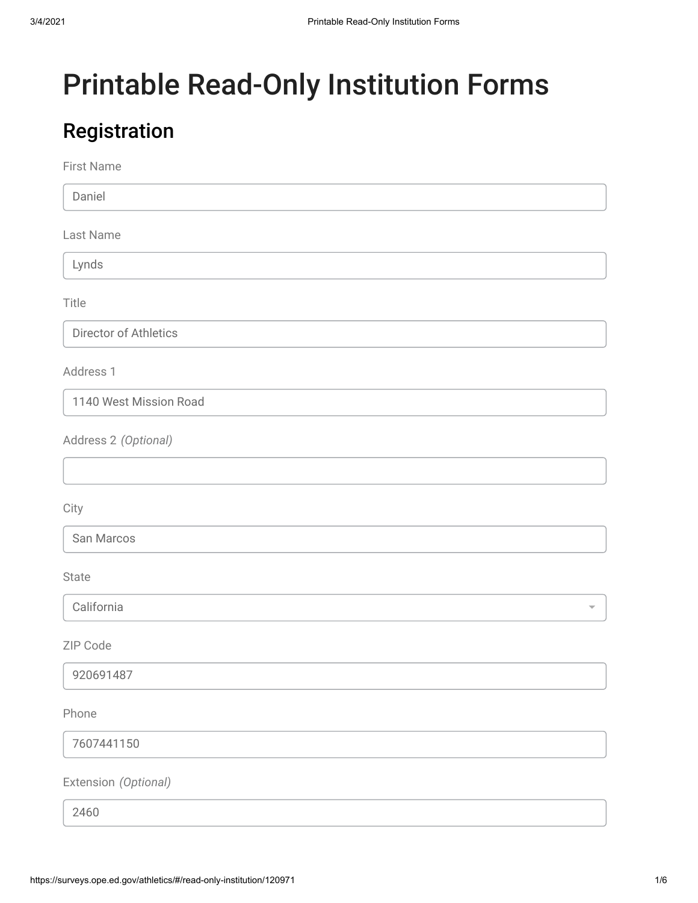# Printable Read-Only Institution Forms

### Registration

First Name

Daniel

Last Name

Lynds

Title

Director of Athletics

Address 1

1140 West Mission Road

Address 2 *(Optional)*

**City** 

San Marcos

State

California

ZIP Code

920691487

Phone

7607441150

Extension *(Optional)*

2460

 $\overline{\phantom{0}}$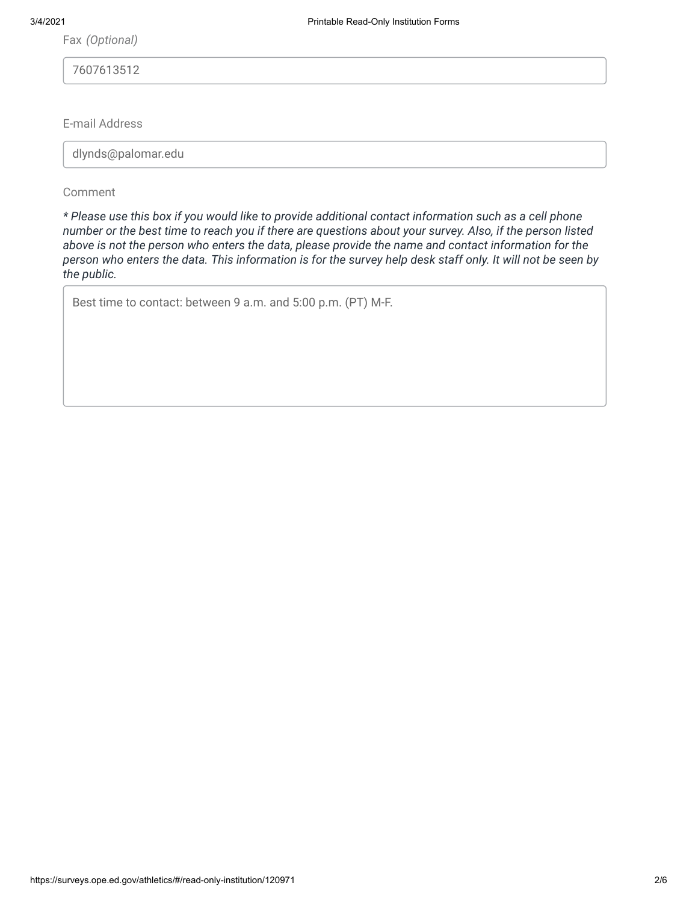Fax *(Optional)*

7607613512

E-mail Address

dlynds@palomar.edu

Comment

*\* Please use this box if you would like to provide additional contact information such as a cell phone number or the best time to reach you if there are questions about your survey. Also, if the person listed above is not the person who enters the data, please provide the name and contact information for the person who enters the data. This information is for the survey help desk staff only. It will not be seen by the public.*

Best time to contact: between 9 a.m. and 5:00 p.m. (PT) M-F.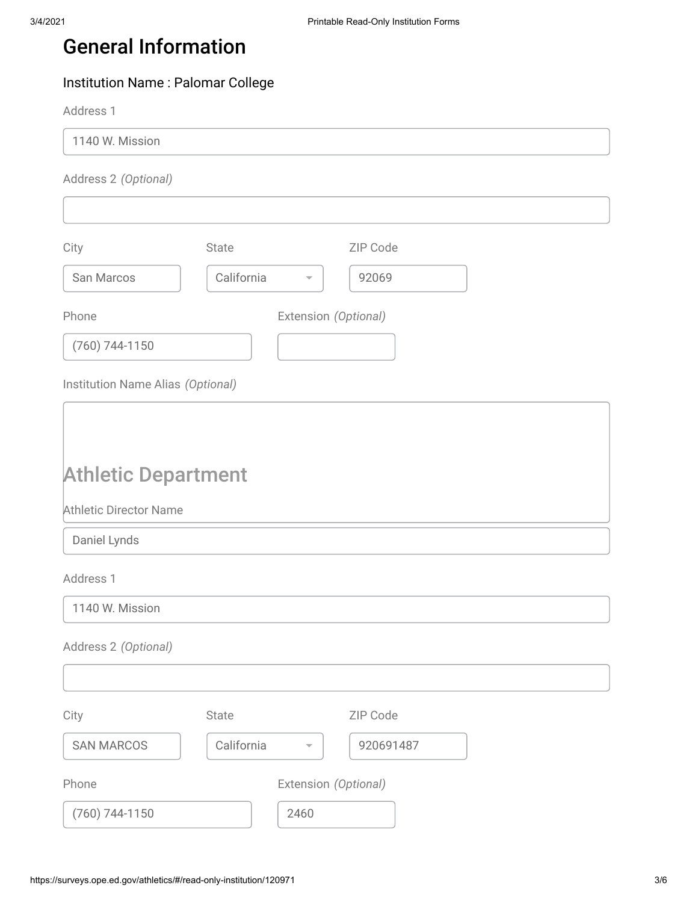### General Information

#### Institution Name : Palomar College

Address 1

1140 W. Mission

Address 2 *(Optional)*

| City                              | State      |                          | ZIP Code  |
|-----------------------------------|------------|--------------------------|-----------|
| San Marcos                        | California |                          | 92069     |
| Phone                             |            | Extension (Optional)     |           |
| $(760)$ 744-1150                  |            |                          |           |
| Institution Name Alias (Optional) |            |                          |           |
|                                   |            |                          |           |
| <b>Athletic Department</b>        |            |                          |           |
| <b>Athletic Director Name</b>     |            |                          |           |
| Daniel Lynds                      |            |                          |           |
| Address 1                         |            |                          |           |
| 1140 W. Mission                   |            |                          |           |
| Address 2 (Optional)              |            |                          |           |
|                                   |            |                          |           |
| City                              | State      |                          | ZIP Code  |
| <b>SAN MARCOS</b>                 | California | $\overline{\phantom{a}}$ | 920691487 |
| Phone                             |            | Extension (Optional)     |           |
| (760) 744-1150                    |            | 2460                     |           |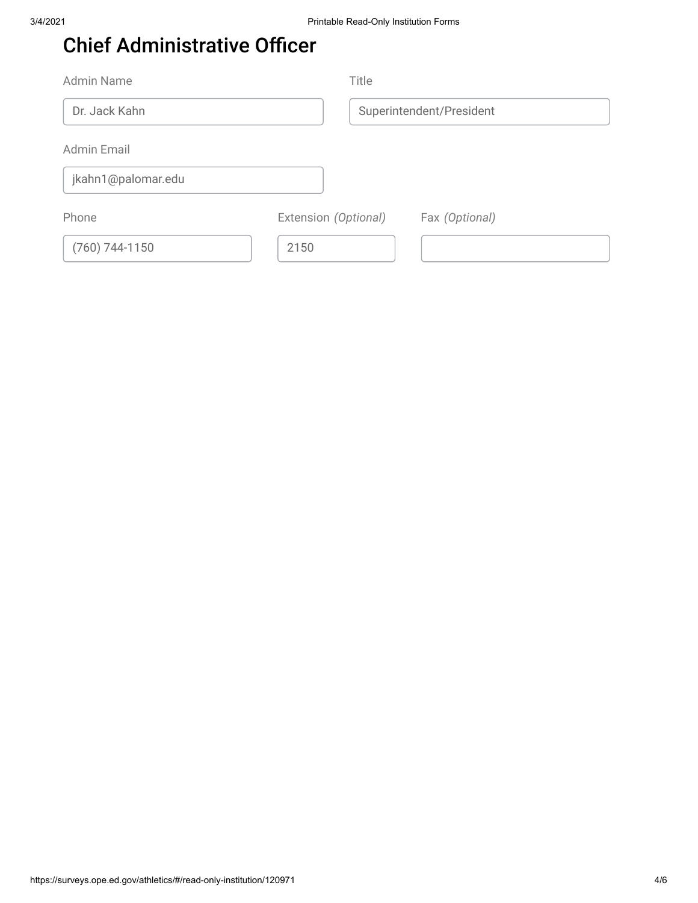### Chief Administrative Officer

| <b>Admin Name</b>  | Title                                  |
|--------------------|----------------------------------------|
| Dr. Jack Kahn      | Superintendent/President               |
| Admin Email        |                                        |
| jkahn1@palomar.edu |                                        |
| Phone              | Extension (Optional)<br>Fax (Optional) |
| $(760)$ 744-1150   | 2150                                   |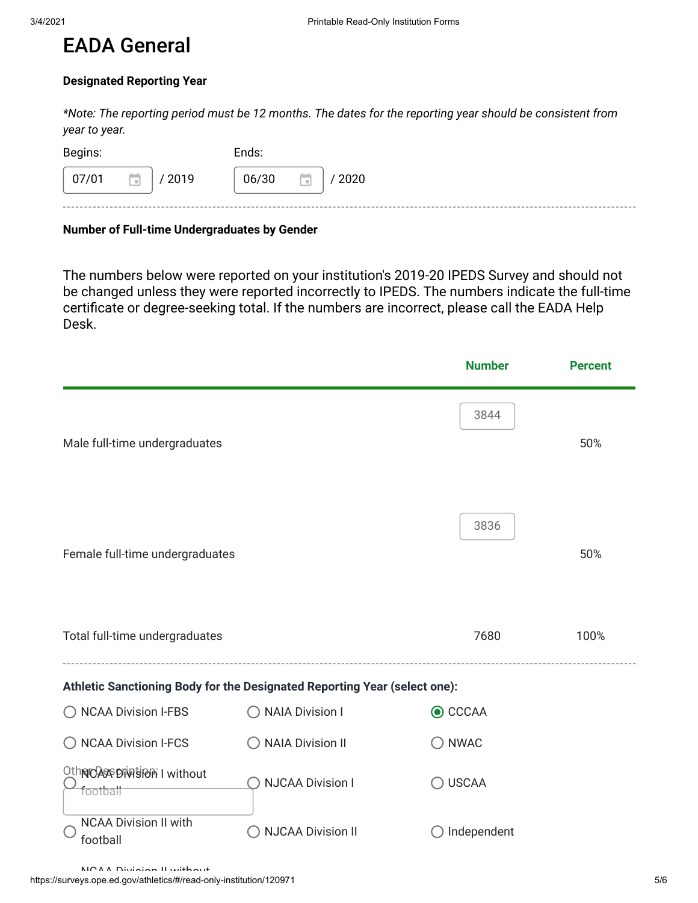#### EADA General

#### **Designated Reporting Year**

*\*Note: The reporting period must be 12 months. The dates for the reporting year should be consistent from year to year.*

| 07/01<br>06/30<br>Ħ.<br>/2019<br>/2020<br>m | Begins: |  | Ends: |  |
|---------------------------------------------|---------|--|-------|--|
|                                             |         |  |       |  |

#### **Number of Full-time Undergraduates by Gender**

The numbers below were reported on your institution's 2019-20 IPEDS Survey and should not be changed unless they were reported incorrectly to IPEDS. The numbers indicate the full-time certificate or degree-seeking total. If the numbers are incorrect, please call the EADA Help Desk.

|                                            |                                                                           | <b>Number</b>   | <b>Percent</b> |
|--------------------------------------------|---------------------------------------------------------------------------|-----------------|----------------|
| Male full-time undergraduates              |                                                                           | 3844            | 50%            |
| Female full-time undergraduates            |                                                                           | 3836            | 50%            |
| Total full-time undergraduates             |                                                                           | 7680            | 100%           |
|                                            | Athletic Sanctioning Body for the Designated Reporting Year (select one): |                 |                |
| ◯ NCAA Division I-FBS                      | ◯ NAIA Division I                                                         | <b>◎</b> CCCAA  |                |
| ◯ NCAA Division I-FCS                      | <b>NAIA Division II</b>                                                   | $\bigcirc$ NWAC |                |
| Othrid Accordination I without<br>football | <b>NJCAA Division I</b>                                                   | <b>USCAA</b>    |                |
| <b>NCAA Division II with</b><br>football   | <b>NJCAA Division II</b>                                                  | Independent     |                |
| MCAA Division II without                   |                                                                           |                 |                |